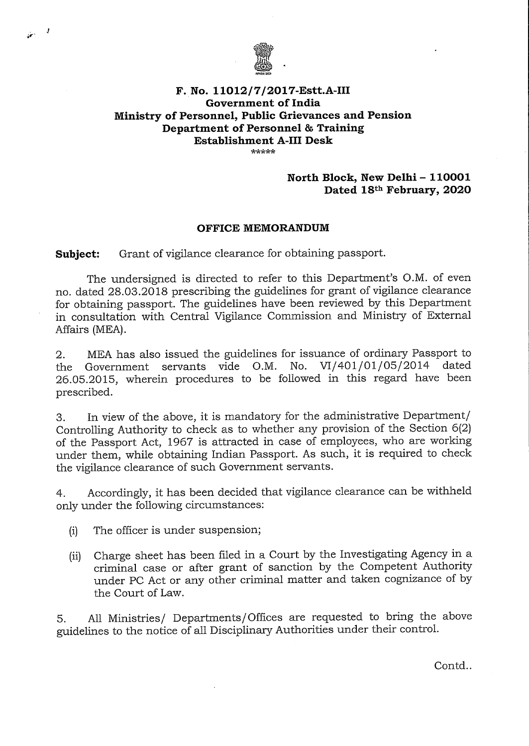

## **F. No. 11012/7/2017-Estt.A-III Government of India Ministry of Personnel, Public Grievances and Pension Department of Personnel** & **Training Establishment A-Ill Desk**

## **North Block, New Delhi - 110001 Dated 18th February, 2020**

## **OFFICE MEMORANDUM**

**Subject:** Grant of vigilance clearance for obtaining passport.

The undersigned is directed to refer to this Department's O.M. of even no. dated 28.03.20 18 prescribing the guidelines for grant of vigilance clearance for obtaining passport. The guidelines have been reviewed by this Department in consultation with Central Vigilance Commission and Ministry of External Affairs (MEA).

2. MEA has also issued the guidelines for issuance of ordinary Passport to the Government servants vide O.M. No. VI/401/01/05/2014 dated the Government servants vide O.M. No.  $VI/401/01/05/2014$ 26.05.20 15, wherein procedures to be followed in this regard have been prescribed.

3. In view of the above, it is mandatory for the administrative Department/ Controlling Authority to check as to whether any provision of the Section 6(2) of the Passport Act, 1967 is attracted in case of employees, who are working under them, while obtaining Indian Passport. As such, it is required to check the vigilance clearance of such Government servants.

4. Accordingly, it has been decided that vigilance clearance can be withheld only under the following circumstances:

(i) The officer is under suspension;

 $\frac{1}{2}$ 

(ii) Charge sheet has been filed in a Court by the Investigating Agency in a criminal case or after grant of sanction by the Competent Authority under PC Act or any other criminal matter and taken cognizance of by the Court of Law.

5. All Ministries/ Departments/Offices are requested to bring the above guidelines to the notice of all Disciplinary Authorities under their control.

Contd..